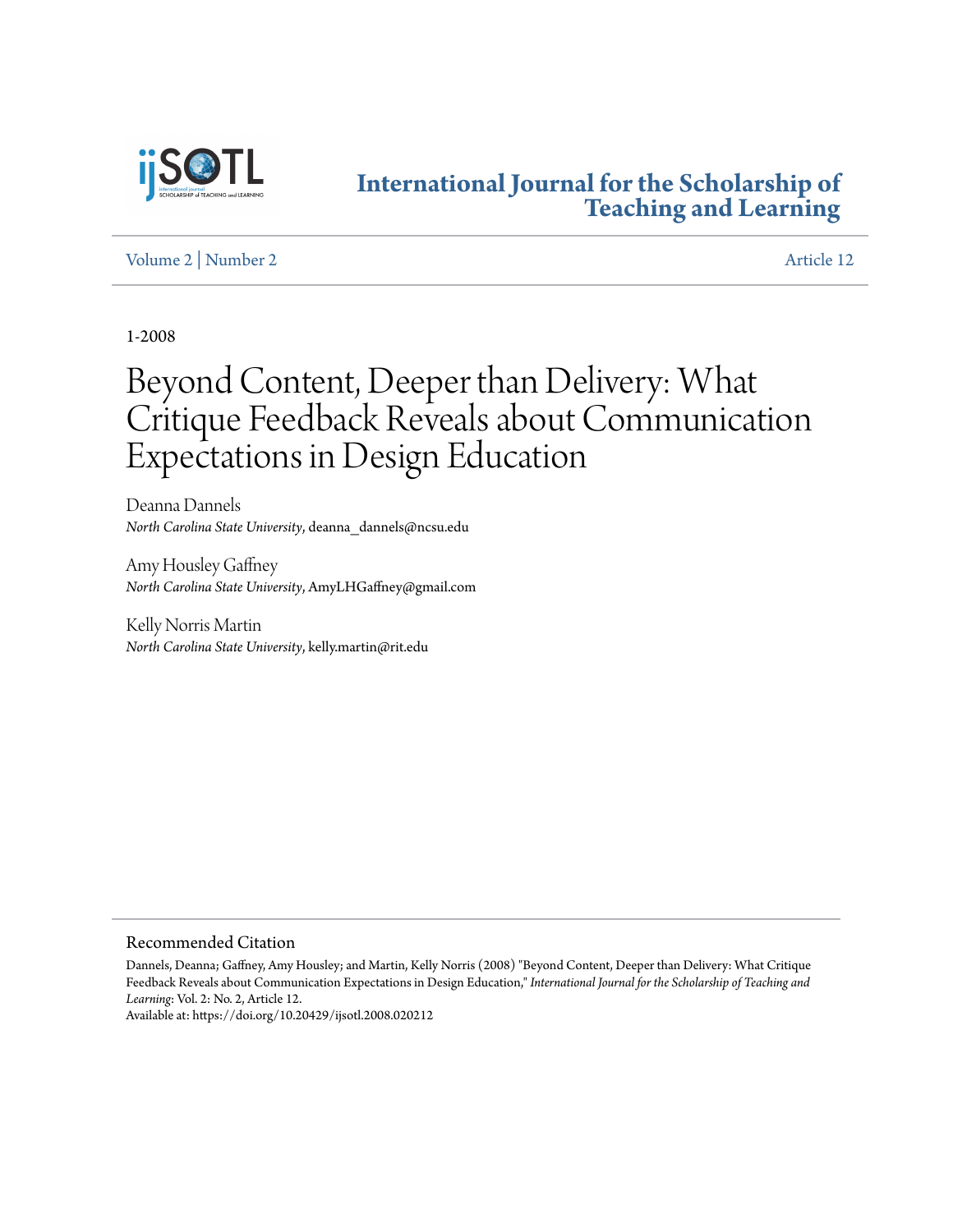

# **[International Journal for the Scholarship of](http://digitalcommons.georgiasouthern.edu/ij-sotl?utm_source=digitalcommons.georgiasouthern.edu%2Fij-sotl%2Fvol2%2Fiss2%2F12&utm_medium=PDF&utm_campaign=PDFCoverPages) [Teaching and Learning](http://digitalcommons.georgiasouthern.edu/ij-sotl?utm_source=digitalcommons.georgiasouthern.edu%2Fij-sotl%2Fvol2%2Fiss2%2F12&utm_medium=PDF&utm_campaign=PDFCoverPages)**

# [Volume 2](http://digitalcommons.georgiasouthern.edu/ij-sotl/vol2?utm_source=digitalcommons.georgiasouthern.edu%2Fij-sotl%2Fvol2%2Fiss2%2F12&utm_medium=PDF&utm_campaign=PDFCoverPages) | [Number 2](http://digitalcommons.georgiasouthern.edu/ij-sotl/vol2/iss2?utm_source=digitalcommons.georgiasouthern.edu%2Fij-sotl%2Fvol2%2Fiss2%2F12&utm_medium=PDF&utm_campaign=PDFCoverPages) [Article 12](http://digitalcommons.georgiasouthern.edu/ij-sotl/vol2/iss2/12?utm_source=digitalcommons.georgiasouthern.edu%2Fij-sotl%2Fvol2%2Fiss2%2F12&utm_medium=PDF&utm_campaign=PDFCoverPages)

1-2008

# Beyond Content, Deeper than Delivery: What Critique Feedback Reveals about Communication Expectations in Design Education

Deanna Dannels *North Carolina State University*, deanna\_dannels@ncsu.edu

Amy Housley Gaffney *North Carolina State University*, AmyLHGaffney@gmail.com

Kelly Norris Martin *North Carolina State University*, kelly.martin@rit.edu

#### Recommended Citation

Dannels, Deanna; Gaffney, Amy Housley; and Martin, Kelly Norris (2008) "Beyond Content, Deeper than Delivery: What Critique Feedback Reveals about Communication Expectations in Design Education," *International Journal for the Scholarship of Teaching and Learning*: Vol. 2: No. 2, Article 12.

Available at: https://doi.org/10.20429/ijsotl.2008.020212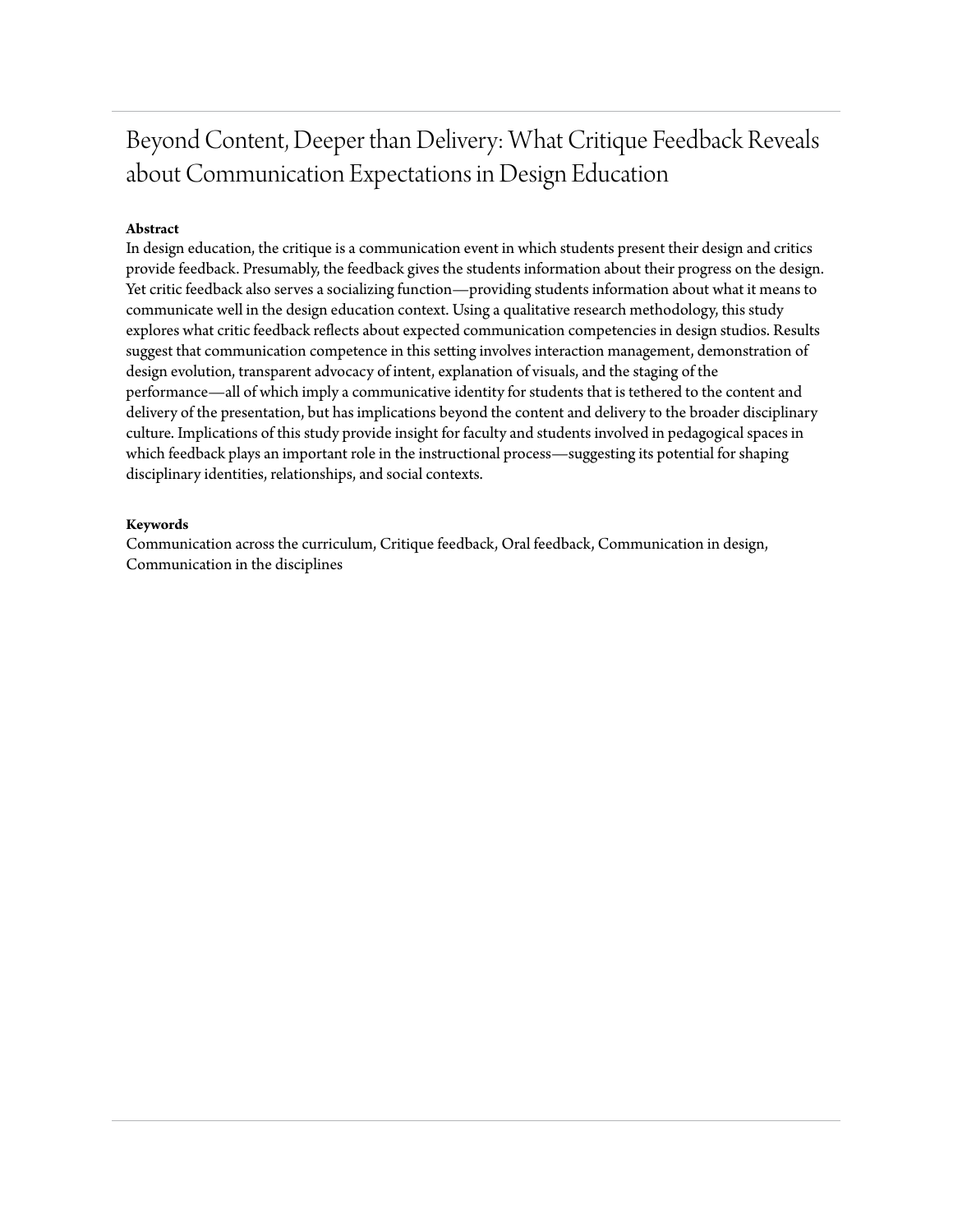# Beyond Content, Deeper than Delivery: What Critique Feedback Reveals about Communication Expectations in Design Education

# **Abstract**

In design education, the critique is a communication event in which students present their design and critics provide feedback. Presumably, the feedback gives the students information about their progress on the design. Yet critic feedback also serves a socializing function—providing students information about what it means to communicate well in the design education context. Using a qualitative research methodology, this study explores what critic feedback reflects about expected communication competencies in design studios. Results suggest that communication competence in this setting involves interaction management, demonstration of design evolution, transparent advocacy of intent, explanation of visuals, and the staging of the performance—all of which imply a communicative identity for students that is tethered to the content and delivery of the presentation, but has implications beyond the content and delivery to the broader disciplinary culture. Implications of this study provide insight for faculty and students involved in pedagogical spaces in which feedback plays an important role in the instructional process—suggesting its potential for shaping disciplinary identities, relationships, and social contexts.

#### **Keywords**

Communication across the curriculum, Critique feedback, Oral feedback, Communication in design, Communication in the disciplines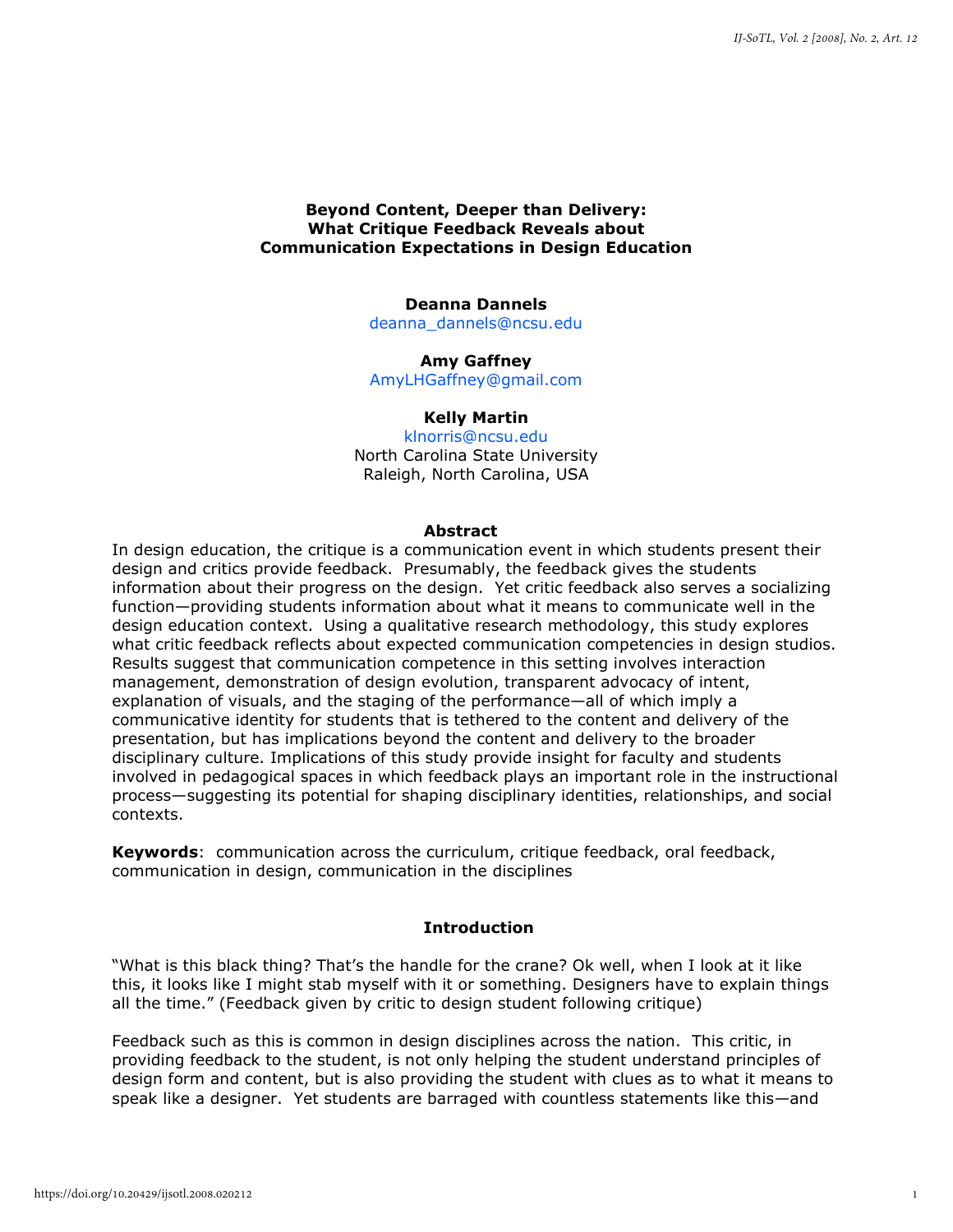#### **Beyond Content, Deeper than Delivery: What Critique Feedback Reveals about Communication Expectations in Design Education**

#### **Deanna Dannels**

deanna\_dannels@ncsu.edu

**Amy Gaffney** AmyLHGaffney@gmail.com

# **Kelly Martin**

klnorris@ncsu.edu North Carolina State University Raleigh, North Carolina, USA

#### **Abstract**

In design education, the critique is a communication event in which students present their design and critics provide feedback. Presumably, the feedback gives the students information about their progress on the design. Yet critic feedback also serves a socializing function—providing students information about what it means to communicate well in the design education context. Using a qualitative research methodology, this study explores what critic feedback reflects about expected communication competencies in design studios. Results suggest that communication competence in this setting involves interaction management, demonstration of design evolution, transparent advocacy of intent, explanation of visuals, and the staging of the performance—all of which imply a communicative identity for students that is tethered to the content and delivery of the presentation, but has implications beyond the content and delivery to the broader disciplinary culture. Implications of this study provide insight for faculty and students involved in pedagogical spaces in which feedback plays an important role in the instructional process—suggesting its potential for shaping disciplinary identities, relationships, and social contexts.

**Keywords**: communication across the curriculum, critique feedback, oral feedback, communication in design, communication in the disciplines

#### **Introduction**

"What is this black thing? That's the handle for the crane? Ok well, when I look at it like this, it looks like I might stab myself with it or something. Designers have to explain things all the time." (Feedback given by critic to design student following critique)

Feedback such as this is common in design disciplines across the nation. This critic, in providing feedback to the student, is not only helping the student understand principles of design form and content, but is also providing the student with clues as to what it means to speak like a designer. Yet students are barraged with countless statements like this—and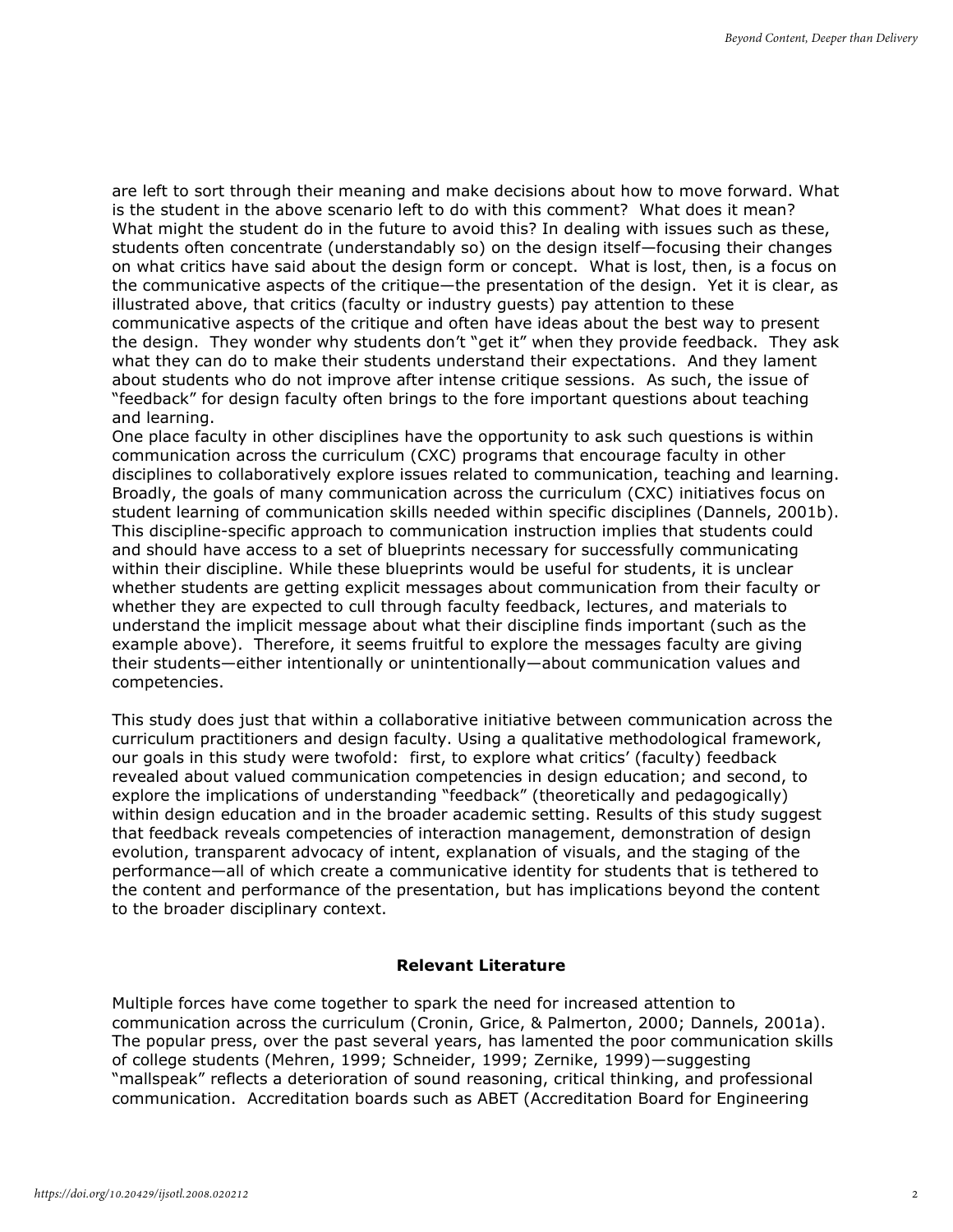are left to sort through their meaning and make decisions about how to move forward. What is the student in the above scenario left to do with this comment? What does it mean? What might the student do in the future to avoid this? In dealing with issues such as these, students often concentrate (understandably so) on the design itself—focusing their changes on what critics have said about the design form or concept. What is lost, then, is a focus on the communicative aspects of the critique—the presentation of the design. Yet it is clear, as illustrated above, that critics (faculty or industry guests) pay attention to these communicative aspects of the critique and often have ideas about the best way to present the design. They wonder why students don't "get it" when they provide feedback. They ask what they can do to make their students understand their expectations. And they lament about students who do not improve after intense critique sessions. As such, the issue of "feedback" for design faculty often brings to the fore important questions about teaching and learning.

One place faculty in other disciplines have the opportunity to ask such questions is within communication across the curriculum (CXC) programs that encourage faculty in other disciplines to collaboratively explore issues related to communication, teaching and learning. Broadly, the goals of many communication across the curriculum (CXC) initiatives focus on student learning of communication skills needed within specific disciplines (Dannels, 2001b). This discipline-specific approach to communication instruction implies that students could and should have access to a set of blueprints necessary for successfully communicating within their discipline. While these blueprints would be useful for students, it is unclear whether students are getting explicit messages about communication from their faculty or whether they are expected to cull through faculty feedback, lectures, and materials to understand the implicit message about what their discipline finds important (such as the example above). Therefore, it seems fruitful to explore the messages faculty are giving their students—either intentionally or unintentionally—about communication values and competencies.

This study does just that within a collaborative initiative between communication across the curriculum practitioners and design faculty. Using a qualitative methodological framework, our goals in this study were twofold: first, to explore what critics' (faculty) feedback revealed about valued communication competencies in design education; and second, to explore the implications of understanding "feedback" (theoretically and pedagogically) within design education and in the broader academic setting. Results of this study suggest that feedback reveals competencies of interaction management, demonstration of design evolution, transparent advocacy of intent, explanation of visuals, and the staging of the performance—all of which create a communicative identity for students that is tethered to the content and performance of the presentation, but has implications beyond the content to the broader disciplinary context.

# **Relevant Literature**

Multiple forces have come together to spark the need for increased attention to communication across the curriculum (Cronin, Grice, & Palmerton, 2000; Dannels, 2001a). The popular press, over the past several years, has lamented the poor communication skills of college students (Mehren, 1999; Schneider, 1999; Zernike, 1999)—suggesting "mallspeak" reflects a deterioration of sound reasoning, critical thinking, and professional communication. Accreditation boards such as ABET (Accreditation Board for Engineering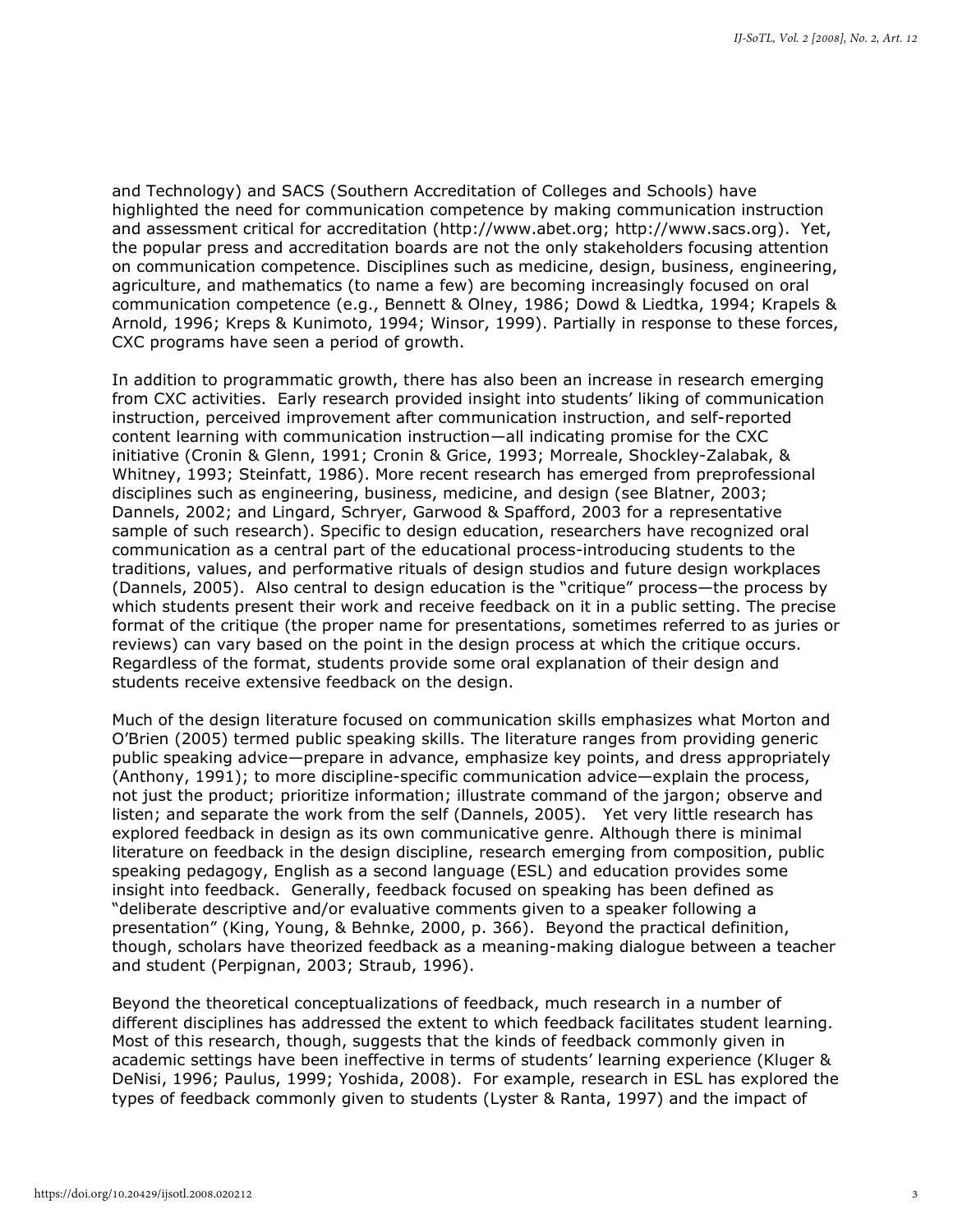and Technology) and SACS (Southern Accreditation of Colleges and Schools) have highlighted the need for communication competence by making communication instruction and assessment critical for accreditation (http://www.abet.org; http://www.sacs.org). Yet, the popular press and accreditation boards are not the only stakeholders focusing attention on communication competence. Disciplines such as medicine, design, business, engineering, agriculture, and mathematics (to name a few) are becoming increasingly focused on oral communication competence (e.g., Bennett & Olney, 1986; Dowd & Liedtka, 1994; Krapels & Arnold, 1996; Kreps & Kunimoto, 1994; Winsor, 1999). Partially in response to these forces, CXC programs have seen a period of growth.

In addition to programmatic growth, there has also been an increase in research emerging from CXC activities. Early research provided insight into students' liking of communication instruction, perceived improvement after communication instruction, and self-reported content learning with communication instruction—all indicating promise for the CXC initiative (Cronin & Glenn, 1991; Cronin & Grice, 1993; Morreale, Shockley-Zalabak, & Whitney, 1993; Steinfatt, 1986). More recent research has emerged from preprofessional disciplines such as engineering, business, medicine, and design (see Blatner, 2003; Dannels, 2002; and Lingard, Schryer, Garwood & Spafford, 2003 for a representative sample of such research). Specific to design education, researchers have recognized oral communication as a central part of the educational process-introducing students to the traditions, values, and performative rituals of design studios and future design workplaces (Dannels, 2005). Also central to design education is the "critique" process—the process by which students present their work and receive feedback on it in a public setting. The precise format of the critique (the proper name for presentations, sometimes referred to as juries or reviews) can vary based on the point in the design process at which the critique occurs. Regardless of the format, students provide some oral explanation of their design and students receive extensive feedback on the design.

Much of the design literature focused on communication skills emphasizes what Morton and O'Brien (2005) termed public speaking skills. The literature ranges from providing generic public speaking advice—prepare in advance, emphasize key points, and dress appropriately (Anthony, 1991); to more discipline-specific communication advice—explain the process, not just the product; prioritize information; illustrate command of the jargon; observe and listen; and separate the work from the self (Dannels, 2005). Yet very little research has explored feedback in design as its own communicative genre. Although there is minimal literature on feedback in the design discipline, research emerging from composition, public speaking pedagogy, English as a second language (ESL) and education provides some insight into feedback. Generally, feedback focused on speaking has been defined as "deliberate descriptive and/or evaluative comments given to a speaker following a presentation" (King, Young, & Behnke, 2000, p. 366). Beyond the practical definition, though, scholars have theorized feedback as a meaning-making dialogue between a teacher and student (Perpignan, 2003; Straub, 1996).

Beyond the theoretical conceptualizations of feedback, much research in a number of different disciplines has addressed the extent to which feedback facilitates student learning. Most of this research, though, suggests that the kinds of feedback commonly given in academic settings have been ineffective in terms of students' learning experience (Kluger & DeNisi, 1996; Paulus, 1999; Yoshida, 2008). For example, research in ESL has explored the types of feedback commonly given to students (Lyster & Ranta, 1997) and the impact of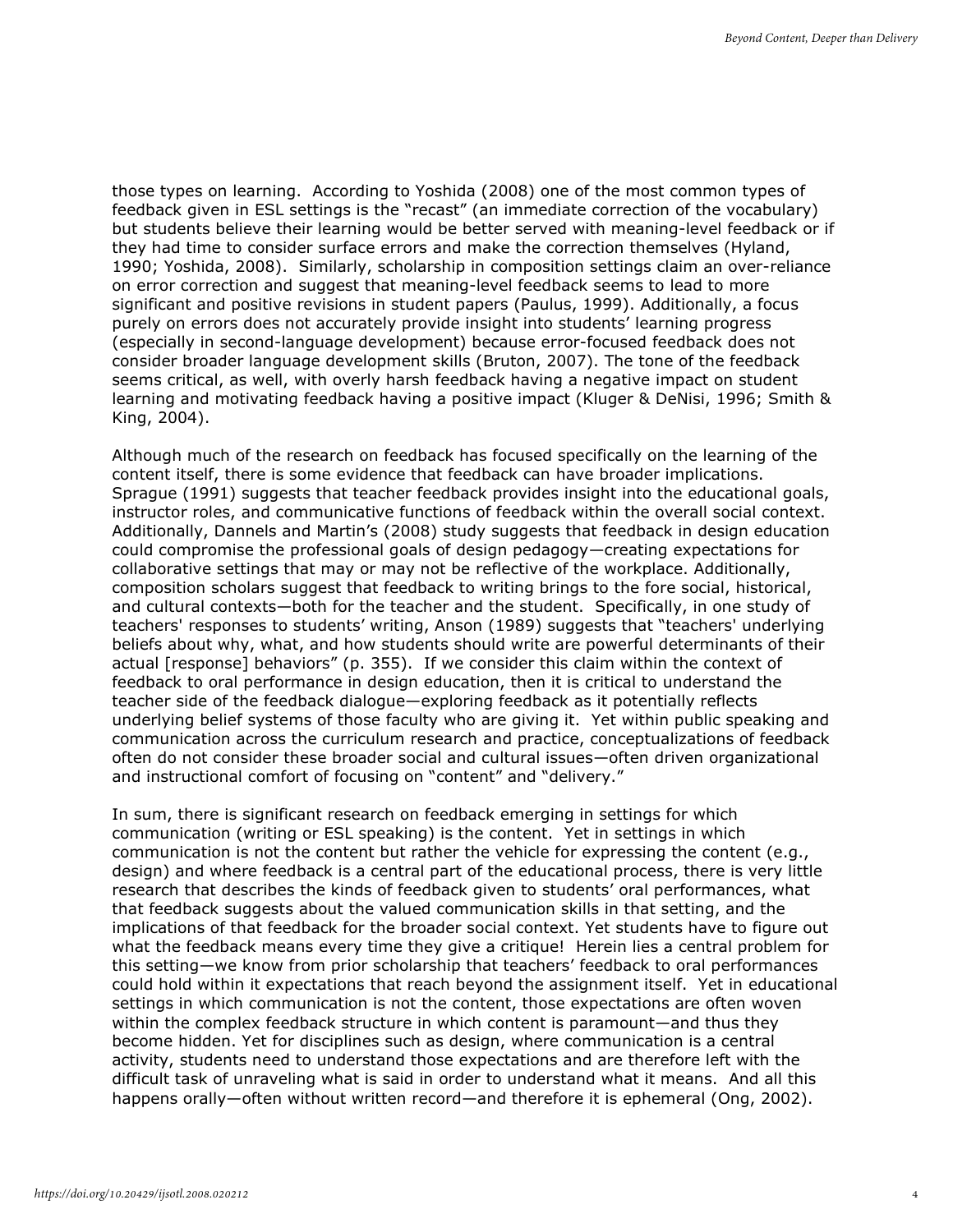those types on learning. According to Yoshida (2008) one of the most common types of feedback given in ESL settings is the "recast" (an immediate correction of the vocabulary) but students believe their learning would be better served with meaning-level feedback or if they had time to consider surface errors and make the correction themselves (Hyland, 1990; Yoshida, 2008). Similarly, scholarship in composition settings claim an over-reliance on error correction and suggest that meaning-level feedback seems to lead to more significant and positive revisions in student papers (Paulus, 1999). Additionally, a focus purely on errors does not accurately provide insight into students' learning progress (especially in second-language development) because error-focused feedback does not consider broader language development skills (Bruton, 2007). The tone of the feedback seems critical, as well, with overly harsh feedback having a negative impact on student learning and motivating feedback having a positive impact (Kluger & DeNisi, 1996; Smith & King, 2004).

Although much of the research on feedback has focused specifically on the learning of the content itself, there is some evidence that feedback can have broader implications. Sprague (1991) suggests that teacher feedback provides insight into the educational goals, instructor roles, and communicative functions of feedback within the overall social context. Additionally, Dannels and Martin's (2008) study suggests that feedback in design education could compromise the professional goals of design pedagogy—creating expectations for collaborative settings that may or may not be reflective of the workplace. Additionally, composition scholars suggest that feedback to writing brings to the fore social, historical, and cultural contexts—both for the teacher and the student. Specifically, in one study of teachers' responses to students' writing, Anson (1989) suggests that "teachers' underlying beliefs about why, what, and how students should write are powerful determinants of their actual [response] behaviors" (p. 355). If we consider this claim within the context of feedback to oral performance in design education, then it is critical to understand the teacher side of the feedback dialogue—exploring feedback as it potentially reflects underlying belief systems of those faculty who are giving it. Yet within public speaking and communication across the curriculum research and practice, conceptualizations of feedback often do not consider these broader social and cultural issues—often driven organizational and instructional comfort of focusing on "content" and "delivery."

In sum, there is significant research on feedback emerging in settings for which communication (writing or ESL speaking) is the content. Yet in settings in which communication is not the content but rather the vehicle for expressing the content (e.g., design) and where feedback is a central part of the educational process, there is very little research that describes the kinds of feedback given to students' oral performances, what that feedback suggests about the valued communication skills in that setting, and the implications of that feedback for the broader social context. Yet students have to figure out what the feedback means every time they give a critique! Herein lies a central problem for this setting—we know from prior scholarship that teachers' feedback to oral performances could hold within it expectations that reach beyond the assignment itself. Yet in educational settings in which communication is not the content, those expectations are often woven within the complex feedback structure in which content is paramount—and thus they become hidden. Yet for disciplines such as design, where communication is a central activity, students need to understand those expectations and are therefore left with the difficult task of unraveling what is said in order to understand what it means. And all this happens orally—often without written record—and therefore it is ephemeral (Ong, 2002).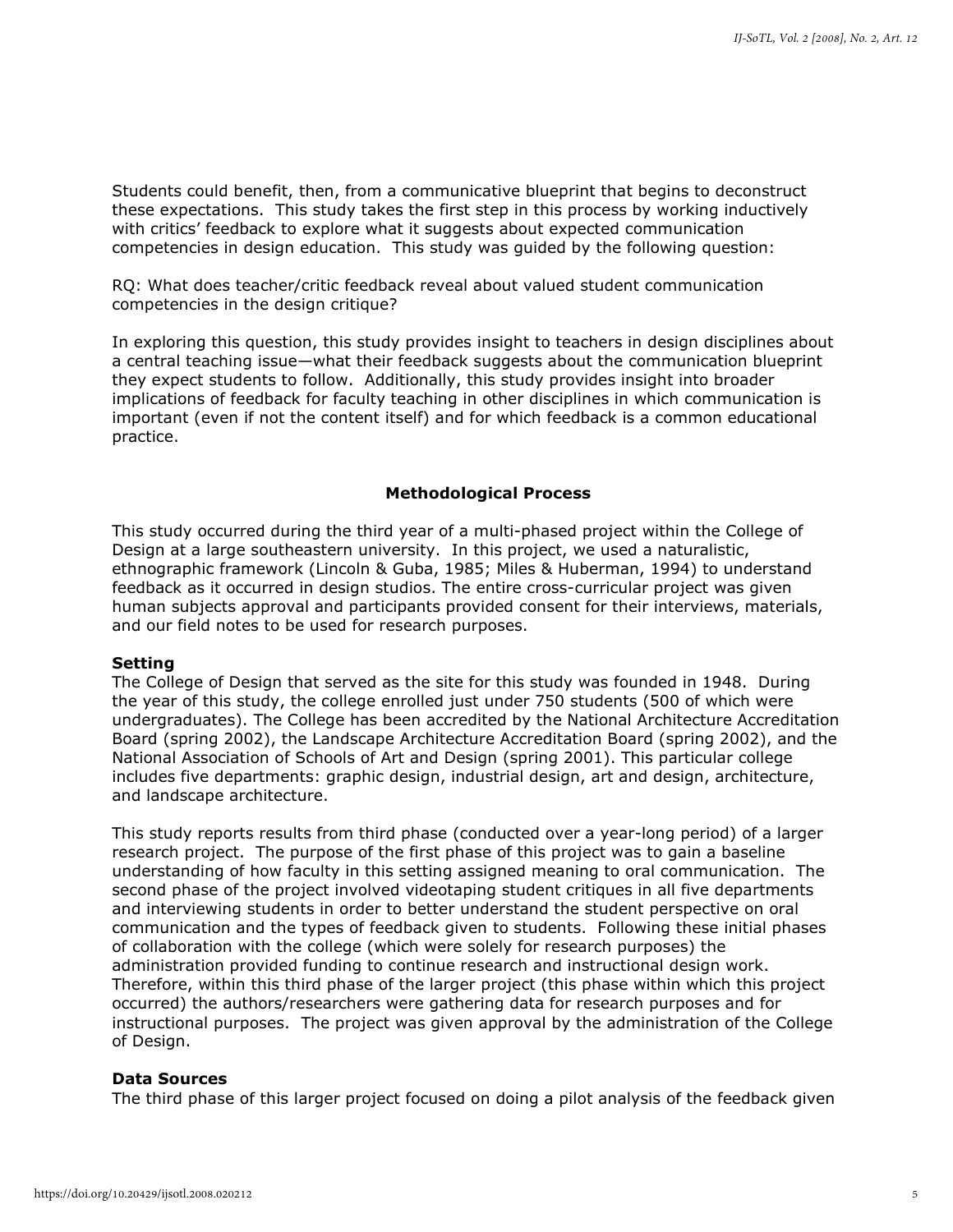Students could benefit, then, from a communicative blueprint that begins to deconstruct these expectations. This study takes the first step in this process by working inductively with critics' feedback to explore what it suggests about expected communication competencies in design education. This study was guided by the following question:

RQ: What does teacher/critic feedback reveal about valued student communication competencies in the design critique?

In exploring this question, this study provides insight to teachers in design disciplines about a central teaching issue—what their feedback suggests about the communication blueprint they expect students to follow. Additionally, this study provides insight into broader implications of feedback for faculty teaching in other disciplines in which communication is important (even if not the content itself) and for which feedback is a common educational practice.

#### **Methodological Process**

This study occurred during the third year of a multi-phased project within the College of Design at a large southeastern university. In this project, we used a naturalistic, ethnographic framework (Lincoln & Guba, 1985; Miles & Huberman, 1994) to understand feedback as it occurred in design studios. The entire cross-curricular project was given human subjects approval and participants provided consent for their interviews, materials, and our field notes to be used for research purposes.

#### **Setting**

The College of Design that served as the site for this study was founded in 1948. During the year of this study, the college enrolled just under 750 students (500 of which were undergraduates). The College has been accredited by the National Architecture Accreditation Board (spring 2002), the Landscape Architecture Accreditation Board (spring 2002), and the National Association of Schools of Art and Design (spring 2001). This particular college includes five departments: graphic design, industrial design, art and design, architecture, and landscape architecture.

This study reports results from third phase (conducted over a year-long period) of a larger research project. The purpose of the first phase of this project was to gain a baseline understanding of how faculty in this setting assigned meaning to oral communication. The second phase of the project involved videotaping student critiques in all five departments and interviewing students in order to better understand the student perspective on oral communication and the types of feedback given to students. Following these initial phases of collaboration with the college (which were solely for research purposes) the administration provided funding to continue research and instructional design work. Therefore, within this third phase of the larger project (this phase within which this project occurred) the authors/researchers were gathering data for research purposes and for instructional purposes. The project was given approval by the administration of the College of Design.

#### **Data Sources**

The third phase of this larger project focused on doing a pilot analysis of the feedback given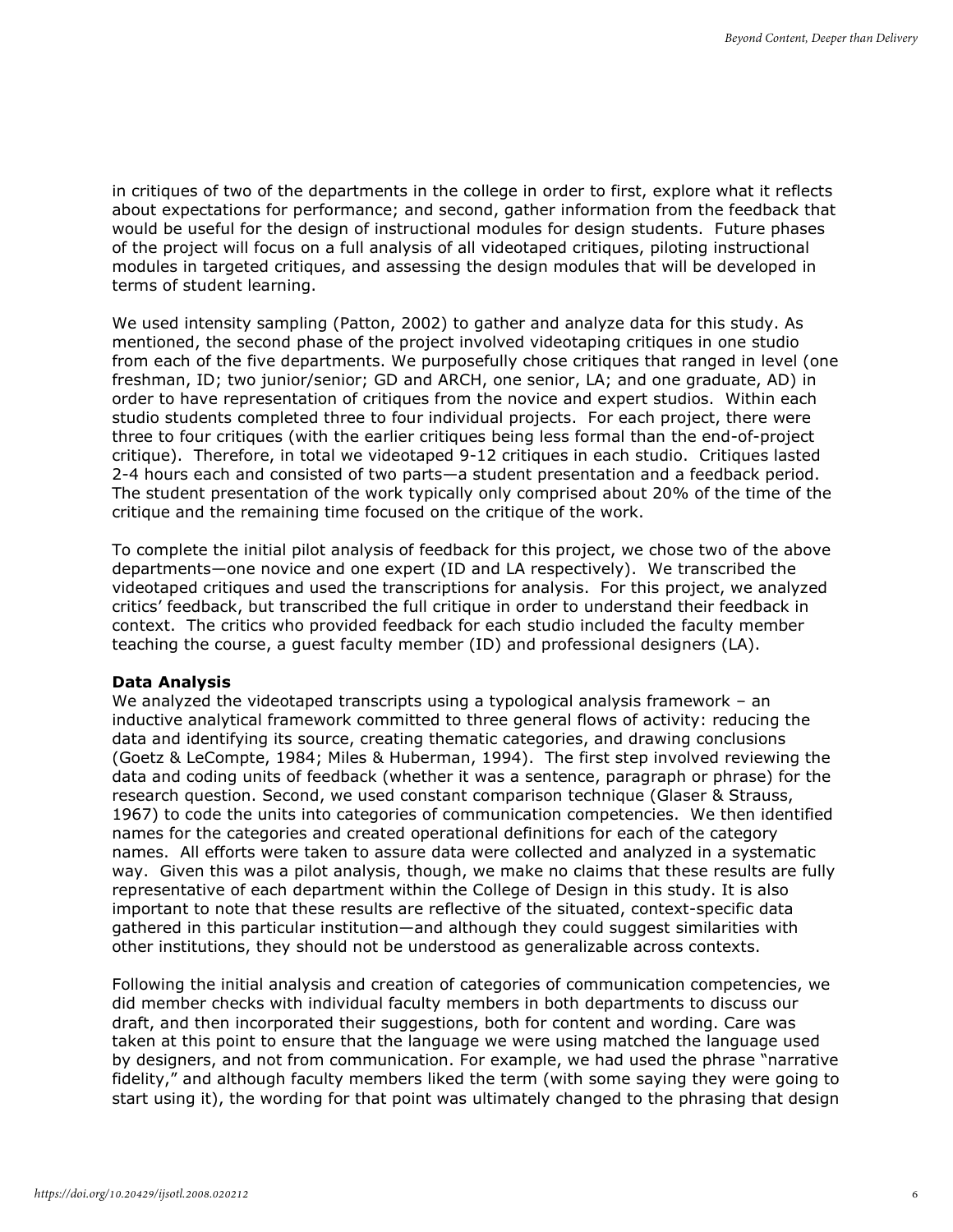in critiques of two of the departments in the college in order to first, explore what it reflects about expectations for performance; and second, gather information from the feedback that would be useful for the design of instructional modules for design students. Future phases of the project will focus on a full analysis of all videotaped critiques, piloting instructional modules in targeted critiques, and assessing the design modules that will be developed in terms of student learning.

We used intensity sampling (Patton, 2002) to gather and analyze data for this study. As mentioned, the second phase of the project involved videotaping critiques in one studio from each of the five departments. We purposefully chose critiques that ranged in level (one freshman, ID; two junior/senior; GD and ARCH, one senior, LA; and one graduate, AD) in order to have representation of critiques from the novice and expert studios. Within each studio students completed three to four individual projects. For each project, there were three to four critiques (with the earlier critiques being less formal than the end-of-project critique). Therefore, in total we videotaped 9-12 critiques in each studio. Critiques lasted 2-4 hours each and consisted of two parts—a student presentation and a feedback period. The student presentation of the work typically only comprised about 20% of the time of the critique and the remaining time focused on the critique of the work.

To complete the initial pilot analysis of feedback for this project, we chose two of the above departments—one novice and one expert (ID and LA respectively). We transcribed the videotaped critiques and used the transcriptions for analysis. For this project, we analyzed critics' feedback, but transcribed the full critique in order to understand their feedback in context. The critics who provided feedback for each studio included the faculty member teaching the course, a guest faculty member (ID) and professional designers (LA).

#### **Data Analysis**

We analyzed the videotaped transcripts using a typological analysis framework – an inductive analytical framework committed to three general flows of activity: reducing the data and identifying its source, creating thematic categories, and drawing conclusions (Goetz & LeCompte, 1984; Miles & Huberman, 1994). The first step involved reviewing the data and coding units of feedback (whether it was a sentence, paragraph or phrase) for the research question. Second, we used constant comparison technique (Glaser & Strauss, 1967) to code the units into categories of communication competencies. We then identified names for the categories and created operational definitions for each of the category names. All efforts were taken to assure data were collected and analyzed in a systematic way. Given this was a pilot analysis, though, we make no claims that these results are fully representative of each department within the College of Design in this study. It is also important to note that these results are reflective of the situated, context-specific data gathered in this particular institution—and although they could suggest similarities with other institutions, they should not be understood as generalizable across contexts.

Following the initial analysis and creation of categories of communication competencies, we did member checks with individual faculty members in both departments to discuss our draft, and then incorporated their suggestions, both for content and wording. Care was taken at this point to ensure that the language we were using matched the language used by designers, and not from communication. For example, we had used the phrase "narrative fidelity," and although faculty members liked the term (with some saying they were going to start using it), the wording for that point was ultimately changed to the phrasing that design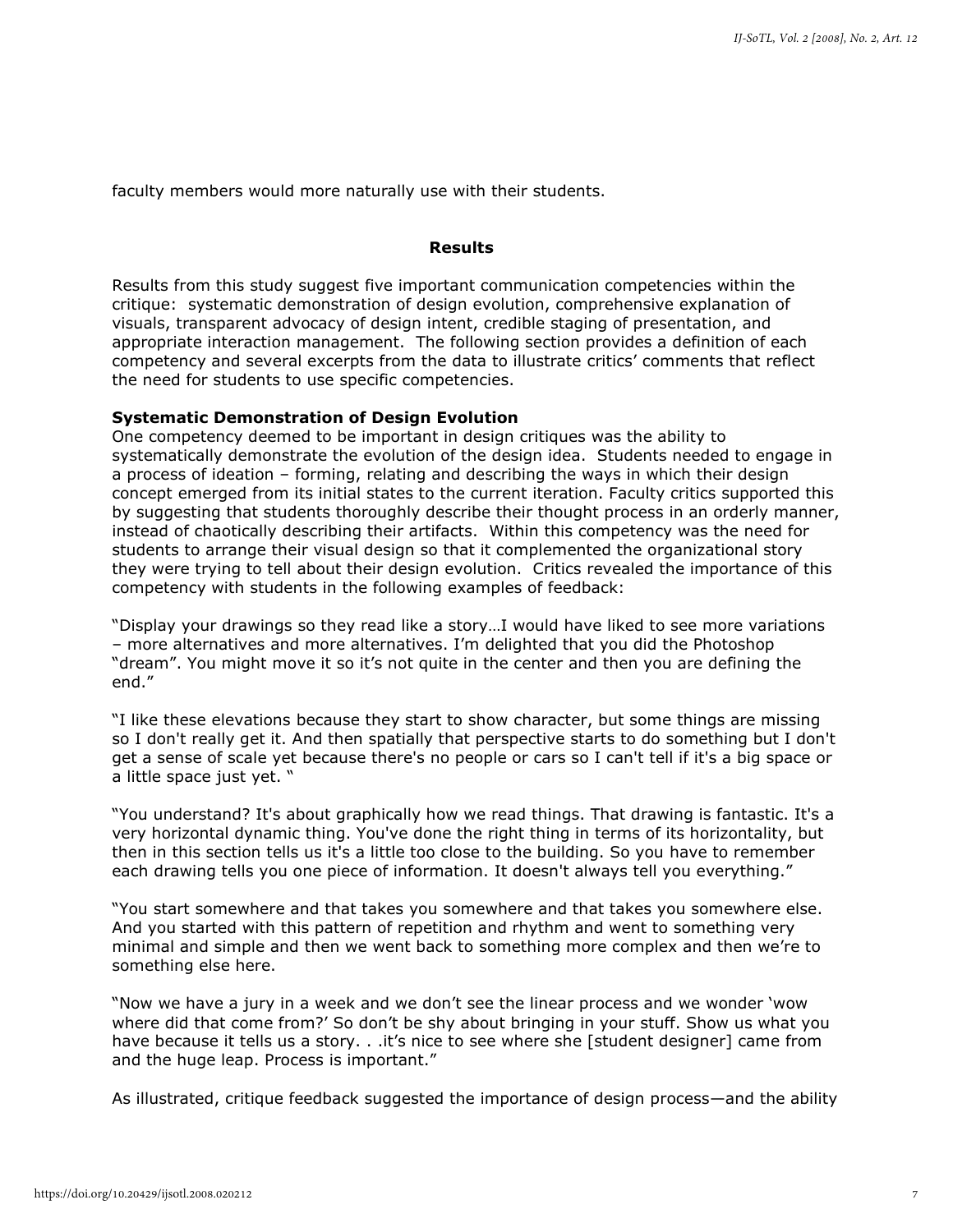faculty members would more naturally use with their students.

# **Results**

Results from this study suggest five important communication competencies within the critique: systematic demonstration of design evolution, comprehensive explanation of visuals, transparent advocacy of design intent, credible staging of presentation, and appropriate interaction management. The following section provides a definition of each competency and several excerpts from the data to illustrate critics' comments that reflect the need for students to use specific competencies.

#### **Systematic Demonstration of Design Evolution**

One competency deemed to be important in design critiques was the ability to systematically demonstrate the evolution of the design idea. Students needed to engage in a process of ideation – forming, relating and describing the ways in which their design concept emerged from its initial states to the current iteration. Faculty critics supported this by suggesting that students thoroughly describe their thought process in an orderly manner, instead of chaotically describing their artifacts. Within this competency was the need for students to arrange their visual design so that it complemented the organizational story they were trying to tell about their design evolution. Critics revealed the importance of this competency with students in the following examples of feedback:

"Display your drawings so they read like a story…I would have liked to see more variations – more alternatives and more alternatives. I'm delighted that you did the Photoshop "dream". You might move it so it's not quite in the center and then you are defining the end."

"I like these elevations because they start to show character, but some things are missing so I don't really get it. And then spatially that perspective starts to do something but I don't get a sense of scale yet because there's no people or cars so I can't tell if it's a big space or a little space just yet. "

"You understand? It's about graphically how we read things. That drawing is fantastic. It's a very horizontal dynamic thing. You've done the right thing in terms of its horizontality, but then in this section tells us it's a little too close to the building. So you have to remember each drawing tells you one piece of information. It doesn't always tell you everything."

"You start somewhere and that takes you somewhere and that takes you somewhere else. And you started with this pattern of repetition and rhythm and went to something very minimal and simple and then we went back to something more complex and then we're to something else here.

"Now we have a jury in a week and we don't see the linear process and we wonder 'wow where did that come from?' So don't be shy about bringing in your stuff. Show us what you have because it tells us a story. . .it's nice to see where she [student designer] came from and the huge leap. Process is important."

As illustrated, critique feedback suggested the importance of design process—and the ability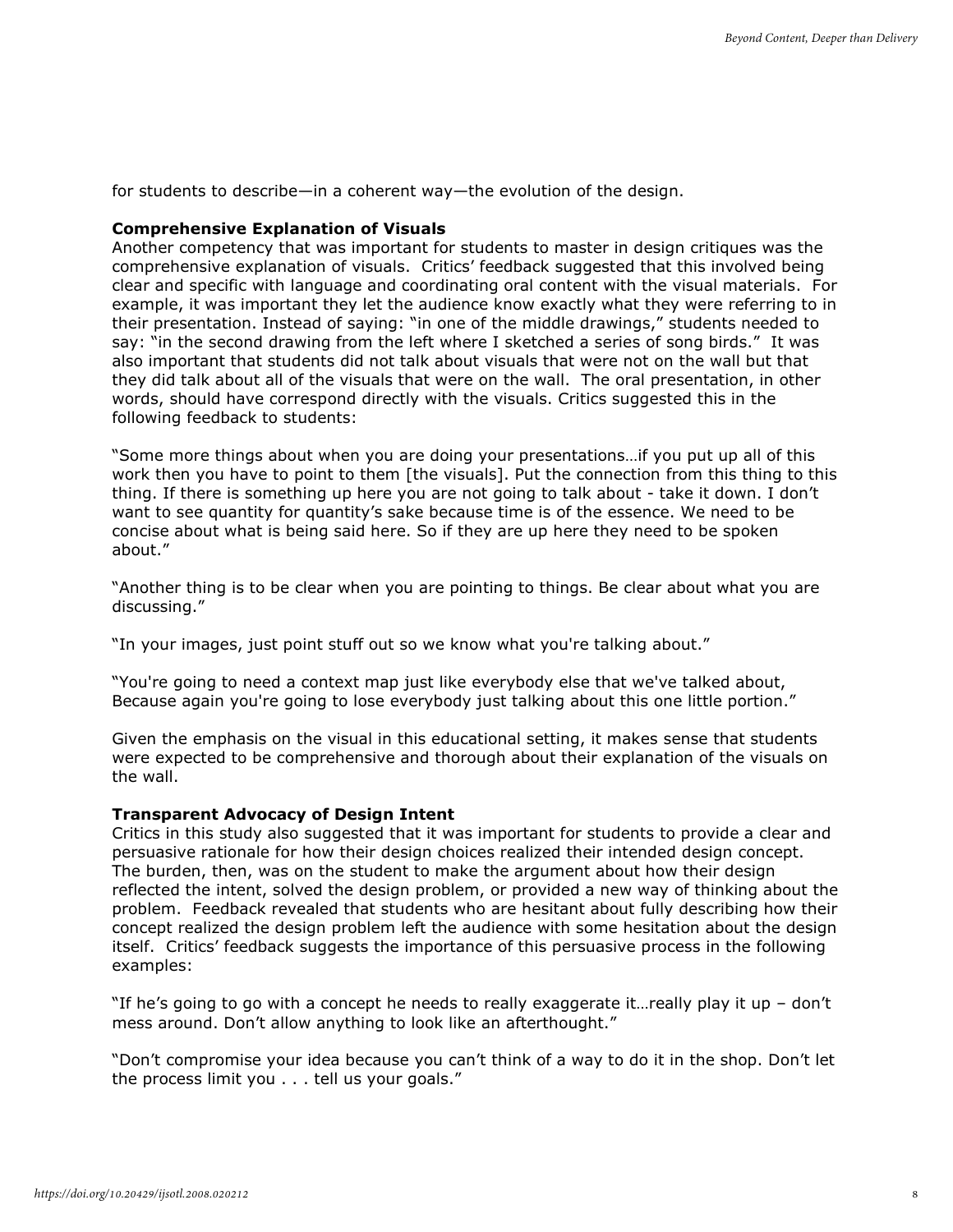for students to describe—in a coherent way—the evolution of the design.

#### **Comprehensive Explanation of Visuals**

Another competency that was important for students to master in design critiques was the comprehensive explanation of visuals. Critics' feedback suggested that this involved being clear and specific with language and coordinating oral content with the visual materials. For example, it was important they let the audience know exactly what they were referring to in their presentation. Instead of saying: "in one of the middle drawings," students needed to say: "in the second drawing from the left where I sketched a series of song birds." It was also important that students did not talk about visuals that were not on the wall but that they did talk about all of the visuals that were on the wall. The oral presentation, in other words, should have correspond directly with the visuals. Critics suggested this in the following feedback to students:

"Some more things about when you are doing your presentations…if you put up all of this work then you have to point to them [the visuals]. Put the connection from this thing to this thing. If there is something up here you are not going to talk about - take it down. I don't want to see quantity for quantity's sake because time is of the essence. We need to be concise about what is being said here. So if they are up here they need to be spoken about."

"Another thing is to be clear when you are pointing to things. Be clear about what you are discussing."

"In your images, just point stuff out so we know what you're talking about."

"You're going to need a context map just like everybody else that we've talked about, Because again you're going to lose everybody just talking about this one little portion."

Given the emphasis on the visual in this educational setting, it makes sense that students were expected to be comprehensive and thorough about their explanation of the visuals on the wall.

#### **Transparent Advocacy of Design Intent**

Critics in this study also suggested that it was important for students to provide a clear and persuasive rationale for how their design choices realized their intended design concept. The burden, then, was on the student to make the argument about how their design reflected the intent, solved the design problem, or provided a new way of thinking about the problem. Feedback revealed that students who are hesitant about fully describing how their concept realized the design problem left the audience with some hesitation about the design itself. Critics' feedback suggests the importance of this persuasive process in the following examples:

"If he's going to go with a concept he needs to really exaggerate it... really play it up  $-$  don't mess around. Don't allow anything to look like an afterthought."

"Don't compromise your idea because you can't think of a way to do it in the shop. Don't let the process limit you . . . tell us your goals."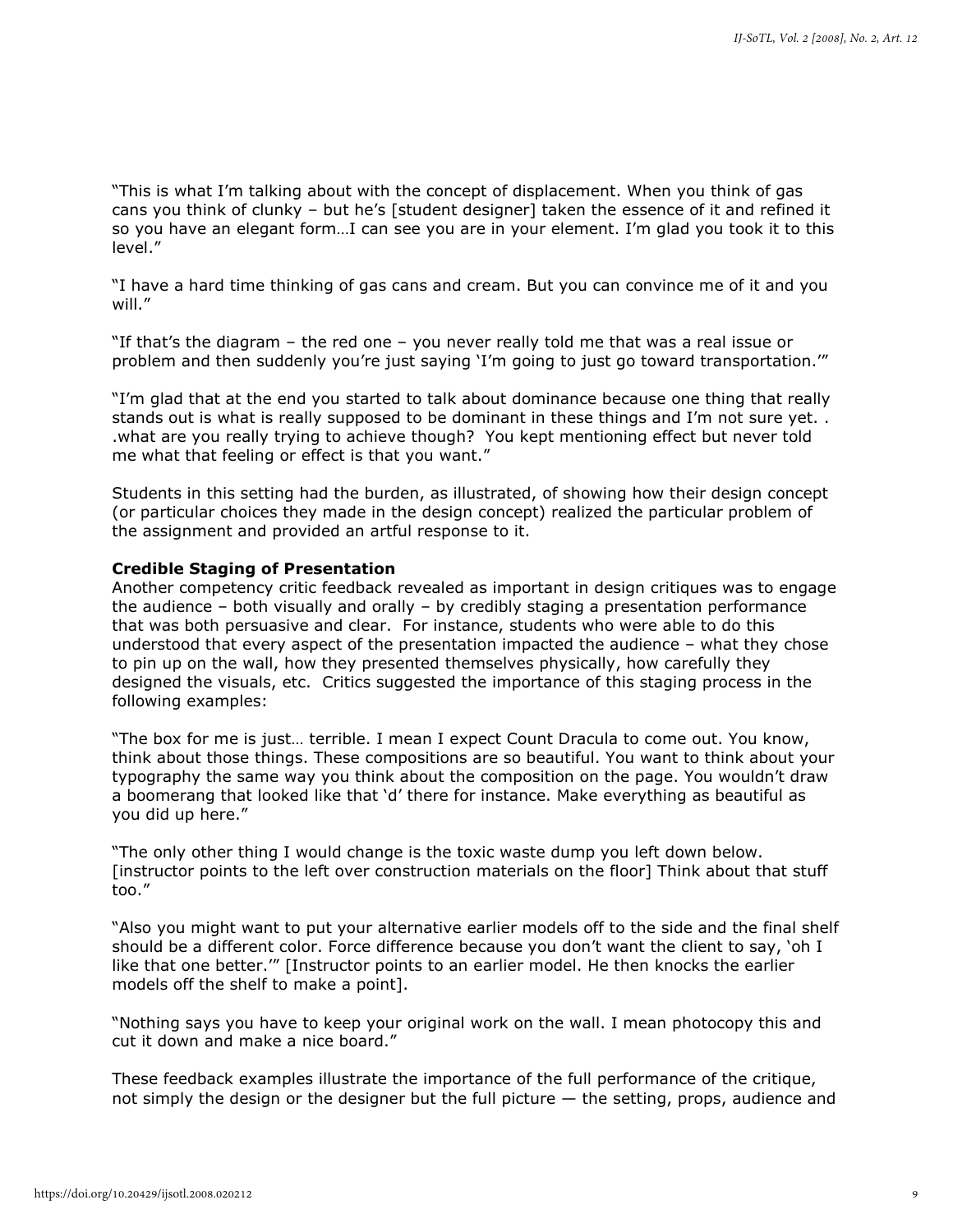"This is what I'm talking about with the concept of displacement. When you think of gas cans you think of clunky – but he's [student designer] taken the essence of it and refined it so you have an elegant form…I can see you are in your element. I'm glad you took it to this level."

"I have a hard time thinking of gas cans and cream. But you can convince me of it and you will."

"If that's the diagram – the red one – you never really told me that was a real issue or problem and then suddenly you're just saying 'I'm going to just go toward transportation.""

"I'm glad that at the end you started to talk about dominance because one thing that really stands out is what is really supposed to be dominant in these things and I'm not sure yet. . .what are you really trying to achieve though? You kept mentioning effect but never told me what that feeling or effect is that you want."

Students in this setting had the burden, as illustrated, of showing how their design concept (or particular choices they made in the design concept) realized the particular problem of the assignment and provided an artful response to it.

#### **Credible Staging of Presentation**

Another competency critic feedback revealed as important in design critiques was to engage the audience – both visually and orally – by credibly staging a presentation performance that was both persuasive and clear. For instance, students who were able to do this understood that every aspect of the presentation impacted the audience – what they chose to pin up on the wall, how they presented themselves physically, how carefully they designed the visuals, etc. Critics suggested the importance of this staging process in the following examples:

"The box for me is just… terrible. I mean I expect Count Dracula to come out. You know, think about those things. These compositions are so beautiful. You want to think about your typography the same way you think about the composition on the page. You wouldn't draw a boomerang that looked like that 'd' there for instance. Make everything as beautiful as you did up here."

"The only other thing I would change is the toxic waste dump you left down below. [instructor points to the left over construction materials on the floor] Think about that stuff too."

"Also you might want to put your alternative earlier models off to the side and the final shelf should be a different color. Force difference because you don't want the client to say, 'oh I like that one better.'" [Instructor points to an earlier model. He then knocks the earlier models off the shelf to make a point].

"Nothing says you have to keep your original work on the wall. I mean photocopy this and cut it down and make a nice board."

These feedback examples illustrate the importance of the full performance of the critique, not simply the design or the designer but the full picture — the setting, props, audience and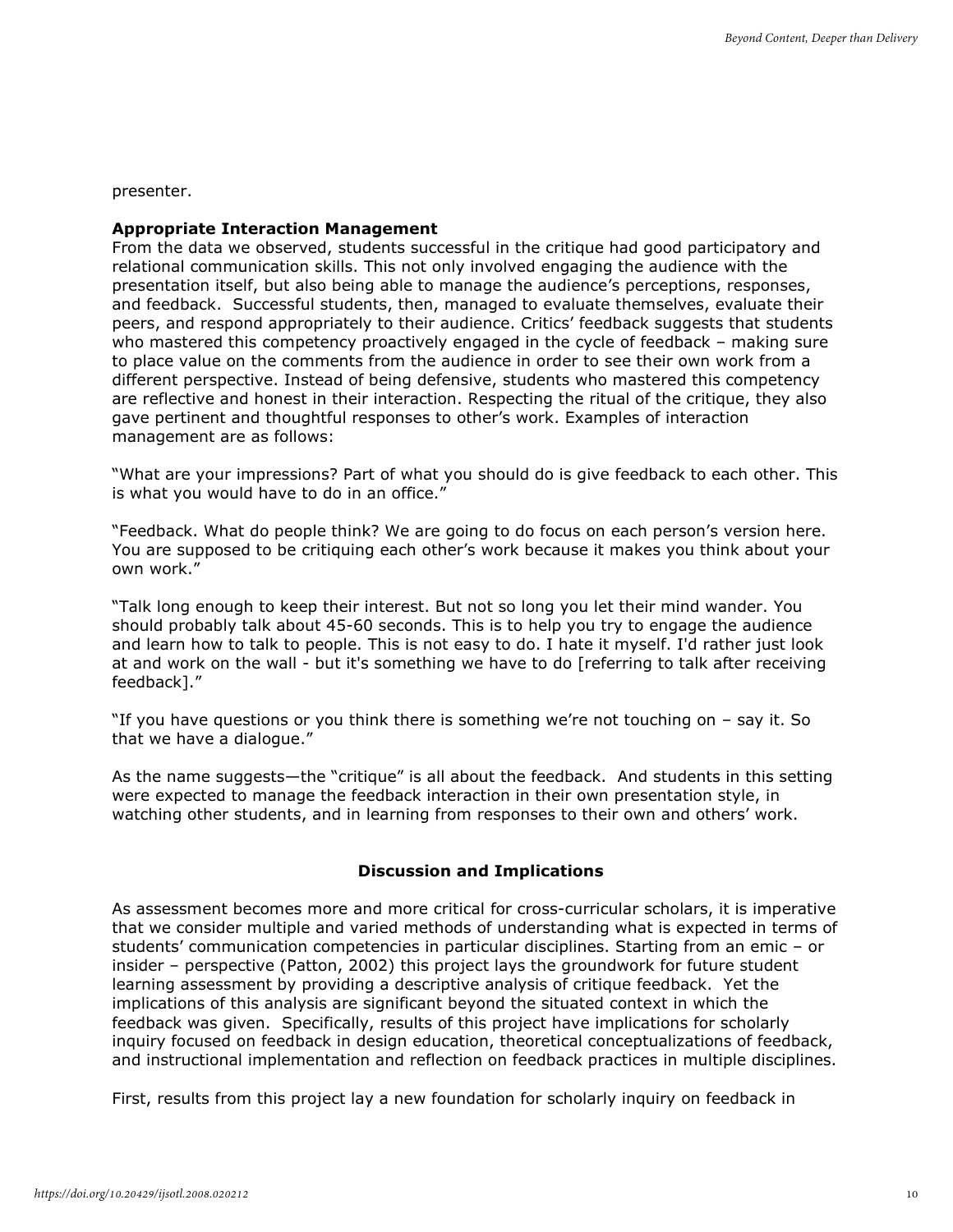presenter.

#### **Appropriate Interaction Management**

From the data we observed, students successful in the critique had good participatory and relational communication skills. This not only involved engaging the audience with the presentation itself, but also being able to manage the audience's perceptions, responses, and feedback. Successful students, then, managed to evaluate themselves, evaluate their peers, and respond appropriately to their audience. Critics' feedback suggests that students who mastered this competency proactively engaged in the cycle of feedback - making sure to place value on the comments from the audience in order to see their own work from a different perspective. Instead of being defensive, students who mastered this competency are reflective and honest in their interaction. Respecting the ritual of the critique, they also gave pertinent and thoughtful responses to other's work. Examples of interaction management are as follows:

"What are your impressions? Part of what you should do is give feedback to each other. This is what you would have to do in an office."

"Feedback. What do people think? We are going to do focus on each person's version here. You are supposed to be critiquing each other's work because it makes you think about your own work."

"Talk long enough to keep their interest. But not so long you let their mind wander. You should probably talk about 45-60 seconds. This is to help you try to engage the audience and learn how to talk to people. This is not easy to do. I hate it myself. I'd rather just look at and work on the wall - but it's something we have to do [referring to talk after receiving feedback]."

"If you have questions or you think there is something we're not touching on – say it. So that we have a dialogue."

As the name suggests—the "critique" is all about the feedback. And students in this setting were expected to manage the feedback interaction in their own presentation style, in watching other students, and in learning from responses to their own and others' work.

# **Discussion and Implications**

As assessment becomes more and more critical for cross-curricular scholars, it is imperative that we consider multiple and varied methods of understanding what is expected in terms of students' communication competencies in particular disciplines. Starting from an emic – or insider – perspective (Patton, 2002) this project lays the groundwork for future student learning assessment by providing a descriptive analysis of critique feedback. Yet the implications of this analysis are significant beyond the situated context in which the feedback was given. Specifically, results of this project have implications for scholarly inquiry focused on feedback in design education, theoretical conceptualizations of feedback, and instructional implementation and reflection on feedback practices in multiple disciplines.

First, results from this project lay a new foundation for scholarly inquiry on feedback in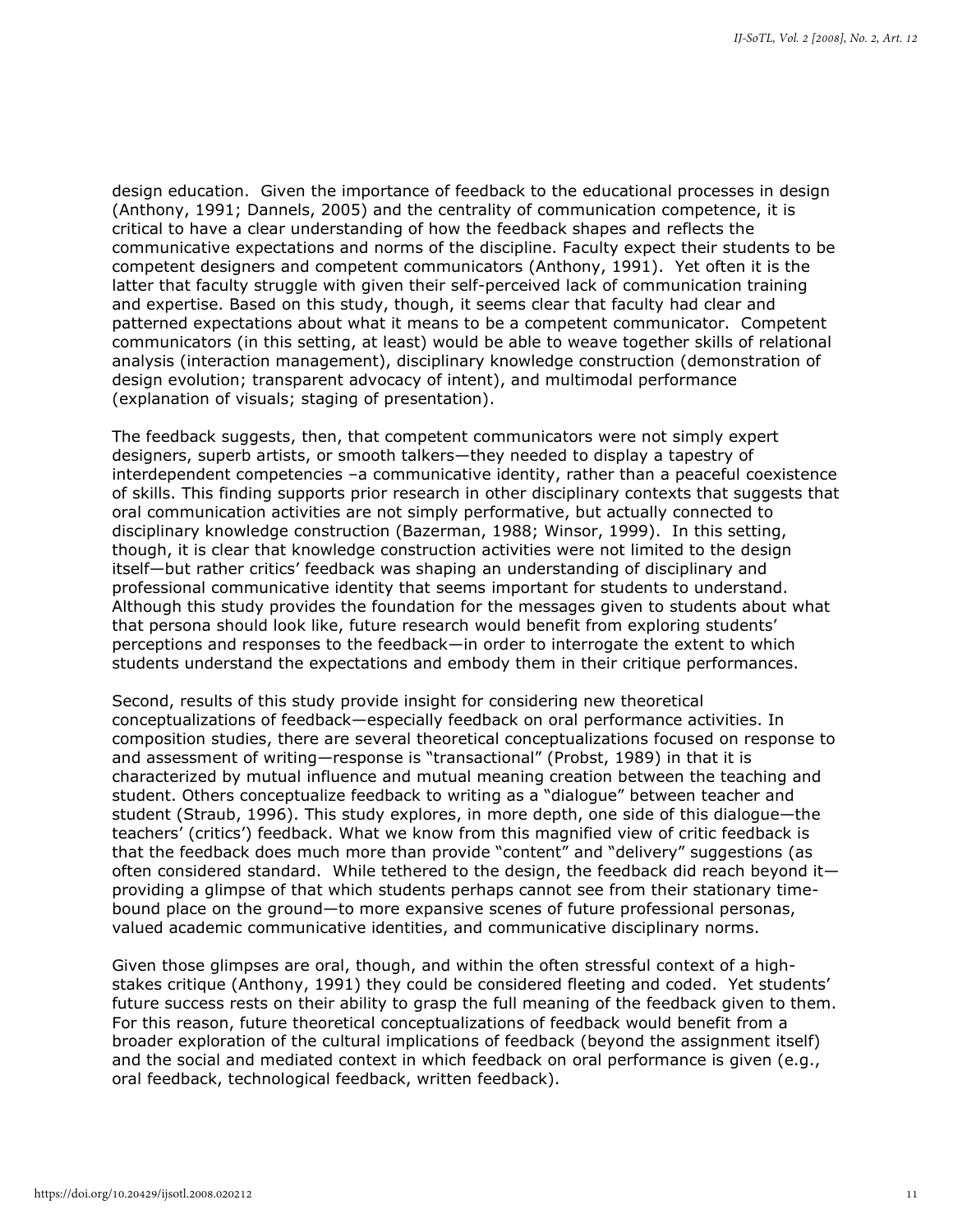design education. Given the importance of feedback to the educational processes in design (Anthony, 1991; Dannels, 2005) and the centrality of communication competence, it is critical to have a clear understanding of how the feedback shapes and reflects the communicative expectations and norms of the discipline. Faculty expect their students to be competent designers and competent communicators (Anthony, 1991). Yet often it is the latter that faculty struggle with given their self-perceived lack of communication training and expertise. Based on this study, though, it seems clear that faculty had clear and patterned expectations about what it means to be a competent communicator. Competent communicators (in this setting, at least) would be able to weave together skills of relational analysis (interaction management), disciplinary knowledge construction (demonstration of design evolution; transparent advocacy of intent), and multimodal performance (explanation of visuals; staging of presentation).

The feedback suggests, then, that competent communicators were not simply expert designers, superb artists, or smooth talkers—they needed to display a tapestry of interdependent competencies –a communicative identity, rather than a peaceful coexistence of skills. This finding supports prior research in other disciplinary contexts that suggests that oral communication activities are not simply performative, but actually connected to disciplinary knowledge construction (Bazerman, 1988; Winsor, 1999). In this setting, though, it is clear that knowledge construction activities were not limited to the design itself—but rather critics' feedback was shaping an understanding of disciplinary and professional communicative identity that seems important for students to understand. Although this study provides the foundation for the messages given to students about what that persona should look like, future research would benefit from exploring students' perceptions and responses to the feedback—in order to interrogate the extent to which students understand the expectations and embody them in their critique performances.

Second, results of this study provide insight for considering new theoretical conceptualizations of feedback—especially feedback on oral performance activities. In composition studies, there are several theoretical conceptualizations focused on response to and assessment of writing—response is "transactional" (Probst, 1989) in that it is characterized by mutual influence and mutual meaning creation between the teaching and student. Others conceptualize feedback to writing as a "dialogue" between teacher and student (Straub, 1996). This study explores, in more depth, one side of this dialogue—the teachers' (critics') feedback. What we know from this magnified view of critic feedback is that the feedback does much more than provide "content" and "delivery" suggestions (as often considered standard. While tethered to the design, the feedback did reach beyond it providing a glimpse of that which students perhaps cannot see from their stationary timebound place on the ground—to more expansive scenes of future professional personas, valued academic communicative identities, and communicative disciplinary norms.

Given those glimpses are oral, though, and within the often stressful context of a highstakes critique (Anthony, 1991) they could be considered fleeting and coded. Yet students' future success rests on their ability to grasp the full meaning of the feedback given to them. For this reason, future theoretical conceptualizations of feedback would benefit from a broader exploration of the cultural implications of feedback (beyond the assignment itself) and the social and mediated context in which feedback on oral performance is given (e.g., oral feedback, technological feedback, written feedback).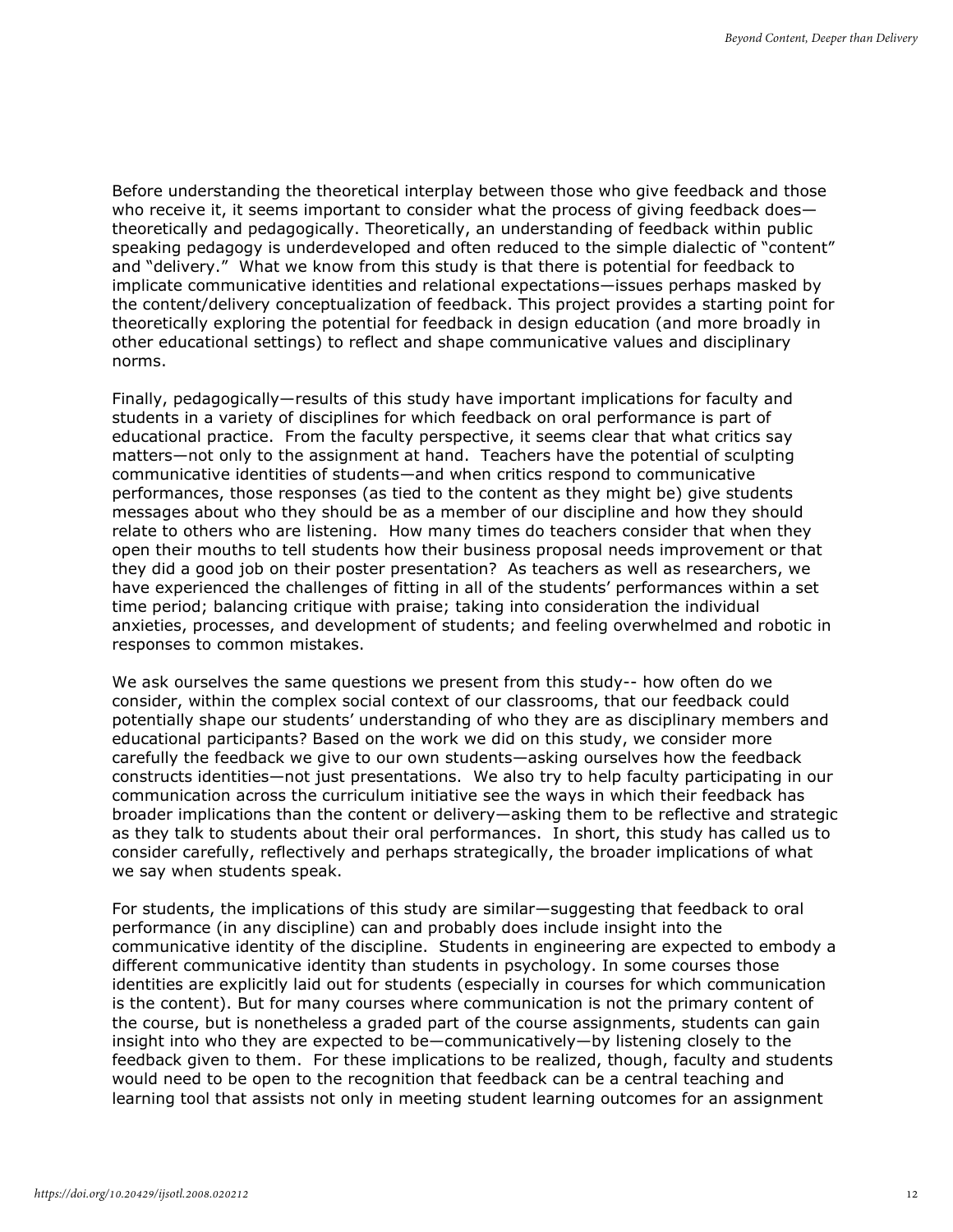Before understanding the theoretical interplay between those who give feedback and those who receive it, it seems important to consider what the process of giving feedback does theoretically and pedagogically. Theoretically, an understanding of feedback within public speaking pedagogy is underdeveloped and often reduced to the simple dialectic of "content" and "delivery." What we know from this study is that there is potential for feedback to implicate communicative identities and relational expectations—issues perhaps masked by the content/delivery conceptualization of feedback. This project provides a starting point for theoretically exploring the potential for feedback in design education (and more broadly in other educational settings) to reflect and shape communicative values and disciplinary norms.

Finally, pedagogically—results of this study have important implications for faculty and students in a variety of disciplines for which feedback on oral performance is part of educational practice. From the faculty perspective, it seems clear that what critics say matters—not only to the assignment at hand. Teachers have the potential of sculpting communicative identities of students—and when critics respond to communicative performances, those responses (as tied to the content as they might be) give students messages about who they should be as a member of our discipline and how they should relate to others who are listening. How many times do teachers consider that when they open their mouths to tell students how their business proposal needs improvement or that they did a good job on their poster presentation? As teachers as well as researchers, we have experienced the challenges of fitting in all of the students' performances within a set time period; balancing critique with praise; taking into consideration the individual anxieties, processes, and development of students; and feeling overwhelmed and robotic in responses to common mistakes.

We ask ourselves the same questions we present from this study-- how often do we consider, within the complex social context of our classrooms, that our feedback could potentially shape our students' understanding of who they are as disciplinary members and educational participants? Based on the work we did on this study, we consider more carefully the feedback we give to our own students—asking ourselves how the feedback constructs identities—not just presentations. We also try to help faculty participating in our communication across the curriculum initiative see the ways in which their feedback has broader implications than the content or delivery—asking them to be reflective and strategic as they talk to students about their oral performances. In short, this study has called us to consider carefully, reflectively and perhaps strategically, the broader implications of what we say when students speak.

For students, the implications of this study are similar—suggesting that feedback to oral performance (in any discipline) can and probably does include insight into the communicative identity of the discipline. Students in engineering are expected to embody a different communicative identity than students in psychology. In some courses those identities are explicitly laid out for students (especially in courses for which communication is the content). But for many courses where communication is not the primary content of the course, but is nonetheless a graded part of the course assignments, students can gain insight into who they are expected to be—communicatively—by listening closely to the feedback given to them. For these implications to be realized, though, faculty and students would need to be open to the recognition that feedback can be a central teaching and learning tool that assists not only in meeting student learning outcomes for an assignment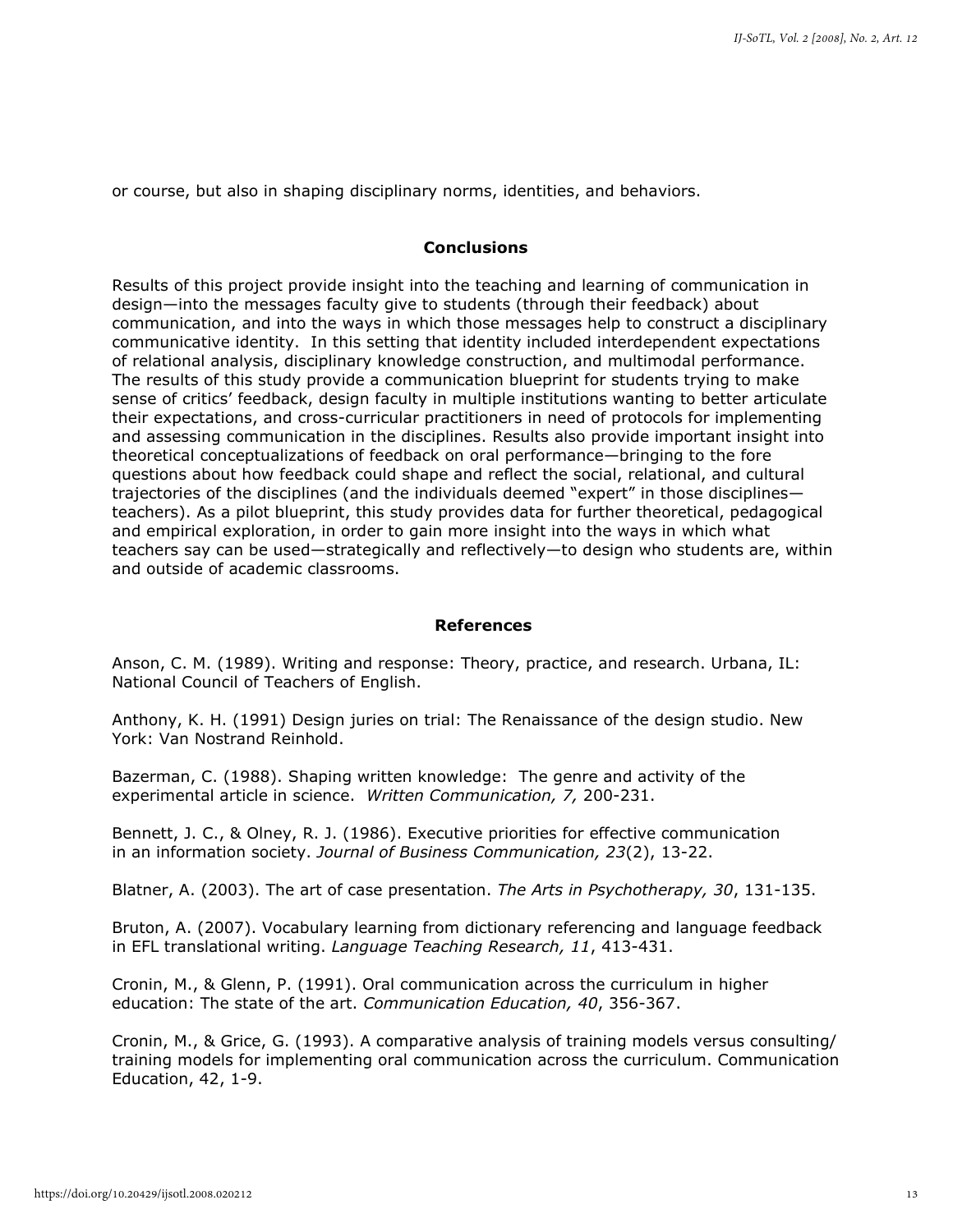or course, but also in shaping disciplinary norms, identities, and behaviors.

# **Conclusions**

Results of this project provide insight into the teaching and learning of communication in design—into the messages faculty give to students (through their feedback) about communication, and into the ways in which those messages help to construct a disciplinary communicative identity. In this setting that identity included interdependent expectations of relational analysis, disciplinary knowledge construction, and multimodal performance. The results of this study provide a communication blueprint for students trying to make sense of critics' feedback, design faculty in multiple institutions wanting to better articulate their expectations, and cross-curricular practitioners in need of protocols for implementing and assessing communication in the disciplines. Results also provide important insight into theoretical conceptualizations of feedback on oral performance—bringing to the fore questions about how feedback could shape and reflect the social, relational, and cultural trajectories of the disciplines (and the individuals deemed "expert" in those disciplines teachers). As a pilot blueprint, this study provides data for further theoretical, pedagogical and empirical exploration, in order to gain more insight into the ways in which what teachers say can be used—strategically and reflectively—to design who students are, within and outside of academic classrooms.

# **References**

Anson, C. M. (1989). Writing and response: Theory, practice, and research. Urbana, IL: National Council of Teachers of English.

Anthony, K. H. (1991) Design juries on trial: The Renaissance of the design studio. New York: Van Nostrand Reinhold.

Bazerman, C. (1988). Shaping written knowledge: The genre and activity of the experimental article in science. *Written Communication, 7,* 200-231.

Bennett, J. C., & Olney, R. J. (1986). Executive priorities for effective communication in an information society. *Journal of Business Communication, 23*(2), 13-22.

Blatner, A. (2003). The art of case presentation. *The Arts in Psychotherapy, 30*, 131-135.

Bruton, A. (2007). Vocabulary learning from dictionary referencing and language feedback in EFL translational writing. *Language Teaching Research, 11*, 413-431.

Cronin, M., & Glenn, P. (1991). Oral communication across the curriculum in higher education: The state of the art. *Communication Education, 40*, 356-367.

Cronin, M., & Grice, G. (1993). A comparative analysis of training models versus consulting/ training models for implementing oral communication across the curriculum. Communication Education, 42, 1-9.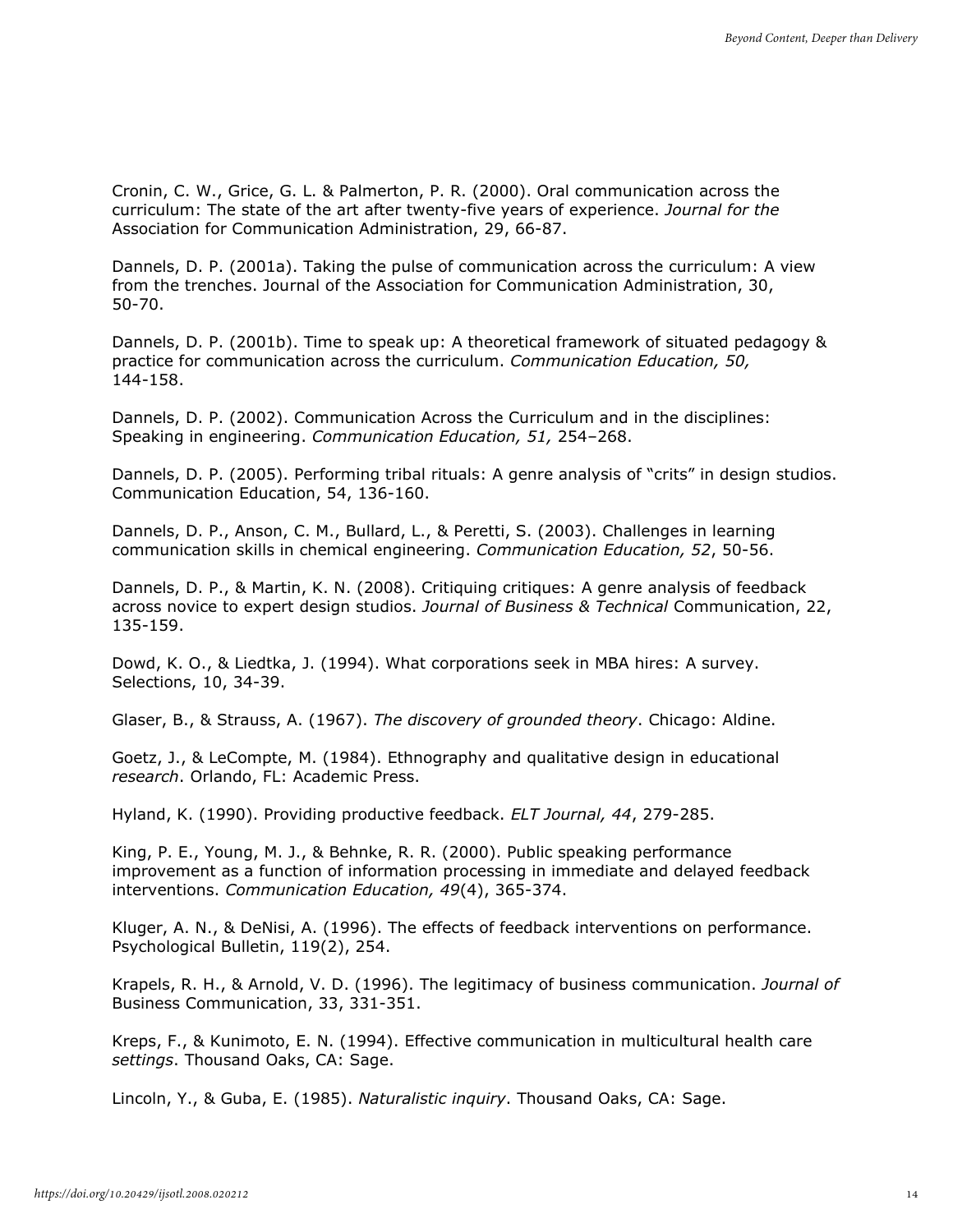Cronin, C. W., Grice, G. L. & Palmerton, P. R. (2000). Oral communication across the curriculum: The state of the art after twenty-five years of experience. *Journal for the* Association for Communication Administration, 29, 66-87.

Dannels, D. P. (2001a). Taking the pulse of communication across the curriculum: A view from the trenches. Journal of the Association for Communication Administration, 30, 50-70.

Dannels, D. P. (2001b). Time to speak up: A theoretical framework of situated pedagogy & practice for communication across the curriculum. *Communication Education, 50,* 144-158.

Dannels, D. P. (2002). Communication Across the Curriculum and in the disciplines: Speaking in engineering. *Communication Education, 51,* 254–268.

Dannels, D. P. (2005). Performing tribal rituals: A genre analysis of "crits" in design studios. Communication Education, 54, 136-160.

Dannels, D. P., Anson, C. M., Bullard, L., & Peretti, S. (2003). Challenges in learning communication skills in chemical engineering. *Communication Education, 52*, 50-56.

Dannels, D. P., & Martin, K. N. (2008). Critiquing critiques: A genre analysis of feedback across novice to expert design studios. *Journal of Business & Technical* Communication, 22, 135-159.

Dowd, K. O., & Liedtka, J. (1994). What corporations seek in MBA hires: A survey. Selections, 10, 34-39.

Glaser, B., & Strauss, A. (1967). *The discovery of grounded theory*. Chicago: Aldine.

Goetz, J., & LeCompte, M. (1984). Ethnography and qualitative design in educational *research*. Orlando, FL: Academic Press.

Hyland, K. (1990). Providing productive feedback. *ELT Journal, 44*, 279-285.

King, P. E., Young, M. J., & Behnke, R. R. (2000). Public speaking performance improvement as a function of information processing in immediate and delayed feedback interventions. *Communication Education, 49*(4), 365-374.

Kluger, A. N., & DeNisi, A. (1996). The effects of feedback interventions on performance. Psychological Bulletin, 119(2), 254.

Krapels, R. H., & Arnold, V. D. (1996). The legitimacy of business communication. *Journal of* Business Communication, 33, 331-351.

Kreps, F., & Kunimoto, E. N. (1994). Effective communication in multicultural health care *settings*. Thousand Oaks, CA: Sage.

Lincoln, Y., & Guba, E. (1985). *Naturalistic inquiry*. Thousand Oaks, CA: Sage.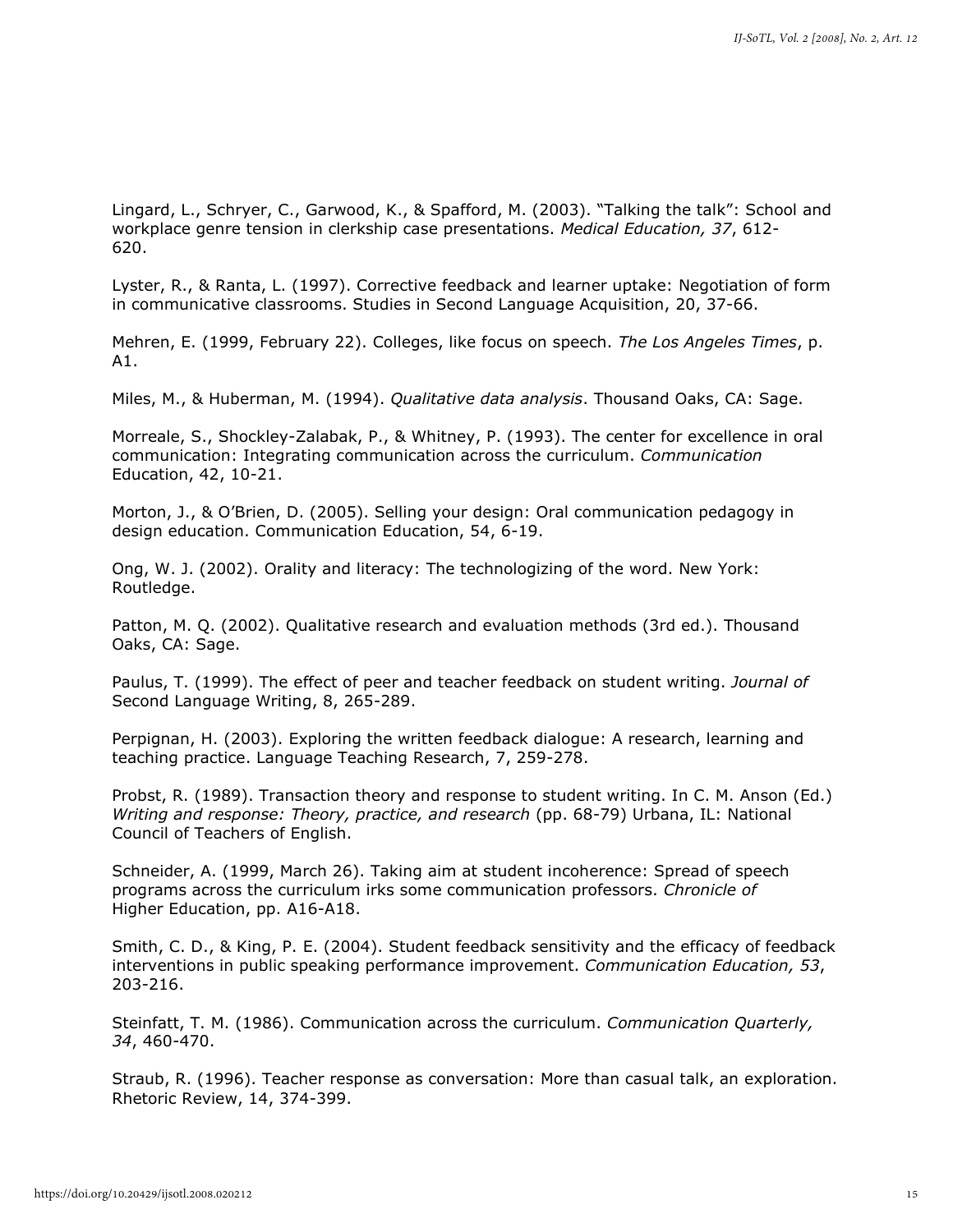Lingard, L., Schryer, C., Garwood, K., & Spafford, M. (2003). "Talking the talk": School and workplace genre tension in clerkship case presentations. *Medical Education, 37*, 612- 620.

Lyster, R., & Ranta, L. (1997). Corrective feedback and learner uptake: Negotiation of form in communicative classrooms. Studies in Second Language Acquisition, 20, 37-66.

Mehren, E. (1999, February 22). Colleges, like focus on speech. *The Los Angeles Times*, p. A1.

Miles, M., & Huberman, M. (1994). *Qualitative data analysis*. Thousand Oaks, CA: Sage.

Morreale, S., Shockley-Zalabak, P., & Whitney, P. (1993). The center for excellence in oral communication: Integrating communication across the curriculum. *Communication* Education, 42, 10-21.

Morton, J., & O'Brien, D. (2005). Selling your design: Oral communication pedagogy in design education. Communication Education, 54, 6-19.

Ong, W. J. (2002). Orality and literacy: The technologizing of the word. New York: Routledge.

Patton, M. Q. (2002). Qualitative research and evaluation methods (3rd ed.). Thousand Oaks, CA: Sage.

Paulus, T. (1999). The effect of peer and teacher feedback on student writing. *Journal of* Second Language Writing, 8, 265-289.

Perpignan, H. (2003). Exploring the written feedback dialogue: A research, learning and teaching practice. Language Teaching Research, 7, 259-278.

Probst, R. (1989). Transaction theory and response to student writing. In C. M. Anson (Ed.) *Writing and response: Theory, practice, and research* (pp. 68-79) Urbana, IL: National Council of Teachers of English.

Schneider, A. (1999, March 26). Taking aim at student incoherence: Spread of speech programs across the curriculum irks some communication professors. *Chronicle of* Higher Education, pp. A16-A18.

Smith, C. D., & King, P. E. (2004). Student feedback sensitivity and the efficacy of feedback interventions in public speaking performance improvement. *Communication Education, 53*, 203-216.

Steinfatt, T. M. (1986). Communication across the curriculum. *Communication Quarterly, 34*, 460-470.

Straub, R. (1996). Teacher response as conversation: More than casual talk, an exploration. Rhetoric Review, 14, 374-399.